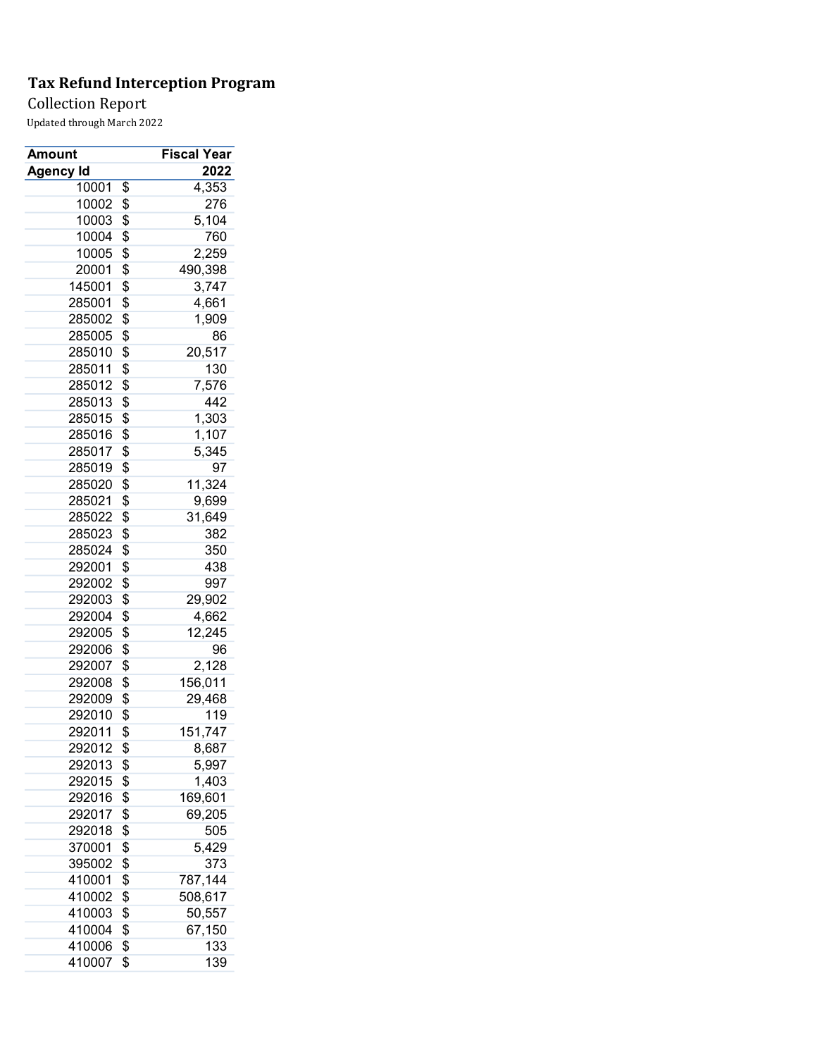## Collection Report

| Amount           | <b>Fiscal Year</b> |
|------------------|--------------------|
| Agency Id        | 2022               |
| 10001            | \$<br>4,353        |
| 10002            | \$<br>276          |
| 10003            | \$<br>5,104        |
| 10004            | \$<br>760          |
| 10005            | \$<br>2,259        |
| 20001            | \$<br>490,398      |
| 145001           | \$<br>3,747        |
| 285001           | \$<br>4,661        |
| 285002           | \$<br>1,909        |
| 285005           | \$<br>86           |
| 285010           | \$<br>20,517       |
| 285011           | \$<br>130          |
| 285012           | \$<br>7,576        |
| 285013           | \$<br>442          |
| 285015           | \$<br>1,303        |
| 285016           | \$<br>1,107        |
| 285017           | \$<br>5,345        |
| 285019           | \$<br>97           |
| 285020           | \$<br>11,324       |
| 285021           | \$<br>9,699        |
| 285022           | \$<br>31,649       |
| 285023           | \$<br>382          |
| 285024           | \$<br>350          |
| 292001           | \$<br>438          |
| 292002           | \$<br>997          |
| 292003           | \$<br>29,902       |
|                  | \$                 |
| 292004<br>292005 | \$<br>4,662        |
|                  | \$<br>12,245<br>96 |
| 292006<br>292007 |                    |
|                  | \$<br>2,128        |
| 292008           | \$<br>156,011      |
| 292009           | \$<br>29,468       |
| 292010           | \$<br>119          |
| 292011           | \$<br>151,747      |
| 292012           | \$<br>8,687        |
| 292013           | \$<br>5,997        |
| 292015           | \$<br>1,403        |
| 292016           | \$<br>169,601      |
| 292017           | \$<br>69,205       |
| 292018           | \$<br>505          |
| 370001           | \$<br>5,429        |
| 395002           | \$<br>373          |
| 410001           | \$<br>787,144      |
| 410002           | \$<br>508,617      |
| 410003           | \$<br>50,557       |
| 410004           | \$<br>67,150       |
| 410006           | \$<br>133          |
| 410007           | \$<br>139          |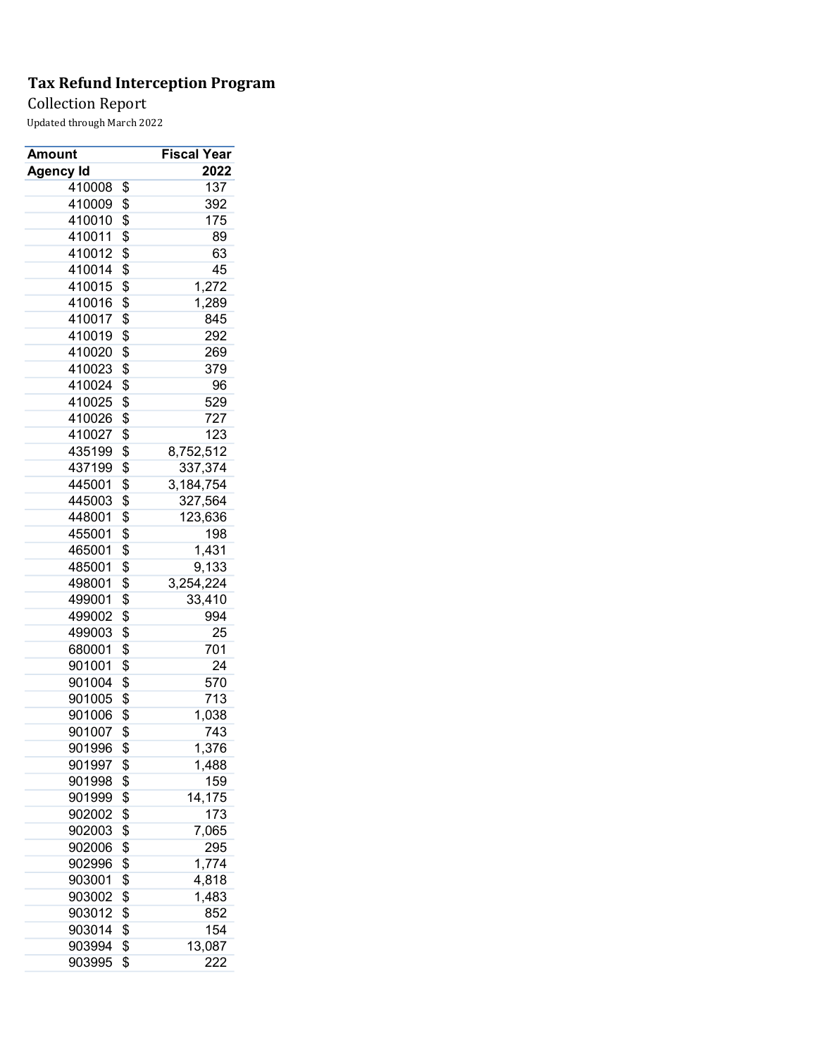## Collection Report

| Amount           | Fiscal Year         |
|------------------|---------------------|
| <b>Agency Id</b> | 2022                |
| 410008           | \$<br>137           |
| 410009           | \$<br>392           |
| 410010           | \$<br>175           |
| 410011           | \$<br>89            |
| 410012           | \$<br>63            |
| 410014           | \$<br>45            |
| 410015           | \$<br>1,272         |
| 410016           | \$<br>1,289         |
| 410017           | \$<br>845           |
| 410019           | \$<br>292           |
| 410020           | \$<br>269           |
| 410023           | \$<br>379           |
| 410024           | \$<br>96            |
| 410025           | \$<br>529           |
| 410026           | \$<br>727           |
| 410027           | \$<br>123           |
| 435199           | \$<br>8,752,512     |
| 437199           | \$<br>337,374       |
| 445001           | \$<br>3,184,754     |
| 445003           | \$<br>327,564       |
| 448001           | \$<br>123,636       |
| 455001           | \$<br>198           |
| 465001           | \$<br>1,431         |
| 485001           | \$<br>9,133         |
| 498001           | \$<br>3,254,224     |
| 499001           | \$<br>33,410        |
| 499002           | \$<br>994           |
| 499003           | \$<br>25            |
| 680001           | \$<br>701           |
| 901001           | \$<br>24            |
| 901004           | \$<br>570           |
| 901005           | \$<br>713           |
| 901006           | \$<br>1,038         |
| 901007           | \$<br>743           |
| 901996           | \$<br>1,376         |
|                  | 1,488               |
| 901997           | \$                  |
| 901998           | \$<br>159<br>14,175 |
| 901999           | \$<br>173           |
| 902002           | \$                  |
| 902003           | \$<br>7,065         |
| 902006           | \$<br>295           |
| 902996           | \$<br>1,774         |
| 903001           | \$<br>4,818         |
| 903002           | \$<br>1,483         |
| 903012           | \$<br>852           |
| 903014           | \$<br>154           |
| 903994           | \$<br>13,087        |
| 903995           | \$<br>222           |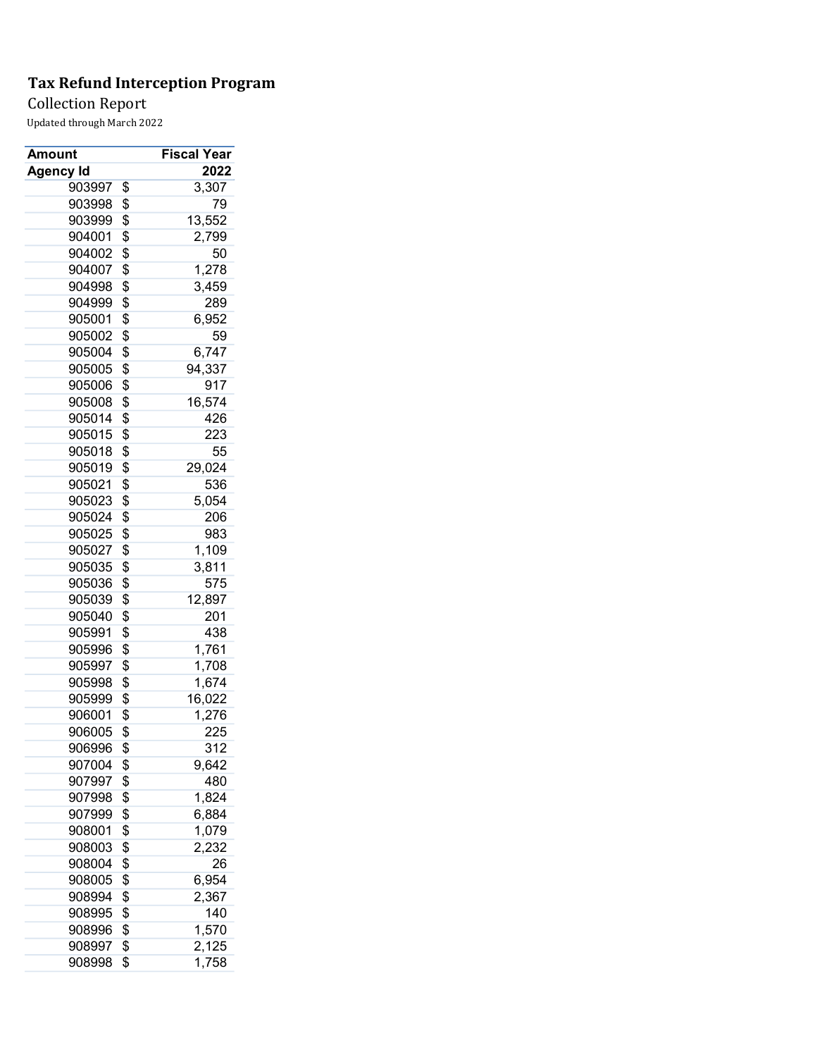## Collection Report

| Amount    | Fiscal Year  |
|-----------|--------------|
| Agency Id | 2022         |
| 903997    | \$<br>3,307  |
| 903998    | \$<br>79     |
| 903999    | \$<br>13,552 |
| 904001    | \$<br>2,799  |
| 904002    | \$<br>50     |
| 904007    | \$<br>1,278  |
| 904998    | \$<br>3,459  |
| 904999    | \$<br>289    |
| 905001    | \$<br>6,952  |
| 905002    | \$<br>59     |
| 905004    | \$<br>6,747  |
| 905005    | \$<br>94,337 |
| 905006    | \$<br>917    |
| 905008    | \$<br>16,574 |
| 905014    | \$<br>426    |
| 905015    | \$<br>223    |
| 905018    | \$<br>55     |
| 905019    | \$<br>29,024 |
| 905021    | \$<br>536    |
| 905023    | \$<br>5,054  |
| 905024    | \$<br>206    |
| 905025    | \$<br>983    |
| 905027    | \$<br>1,109  |
| 905035    | \$<br>3,811  |
| 905036    | \$<br>575    |
| 905039    | \$<br>12,897 |
| 905040    | \$<br>201    |
| 905991    | \$<br>438    |
| 905996    | \$<br>1,761  |
| 905997    | \$<br>1,708  |
| 905998    | \$<br>1,674  |
| 905999    | \$<br>16,022 |
| 906001    | \$           |
| 906005    | 1,276        |
|           | \$<br>225    |
| 906996    | \$<br>312    |
| 907004    | \$<br>9,642  |
| 907997    | \$<br>480    |
| 907998    | \$<br>1,824  |
| 907999    | \$<br>6,884  |
| 908001    | \$<br>1,079  |
| 908003    | \$<br>2,232  |
| 908004    | \$<br>26     |
| 908005    | \$<br>6,954  |
| 908994    | \$<br>2,367  |
| 908995    | \$<br>140    |
| 908996    | \$<br>1,570  |
| 908997    | \$<br>2,125  |
| 908998    | \$<br>1,758  |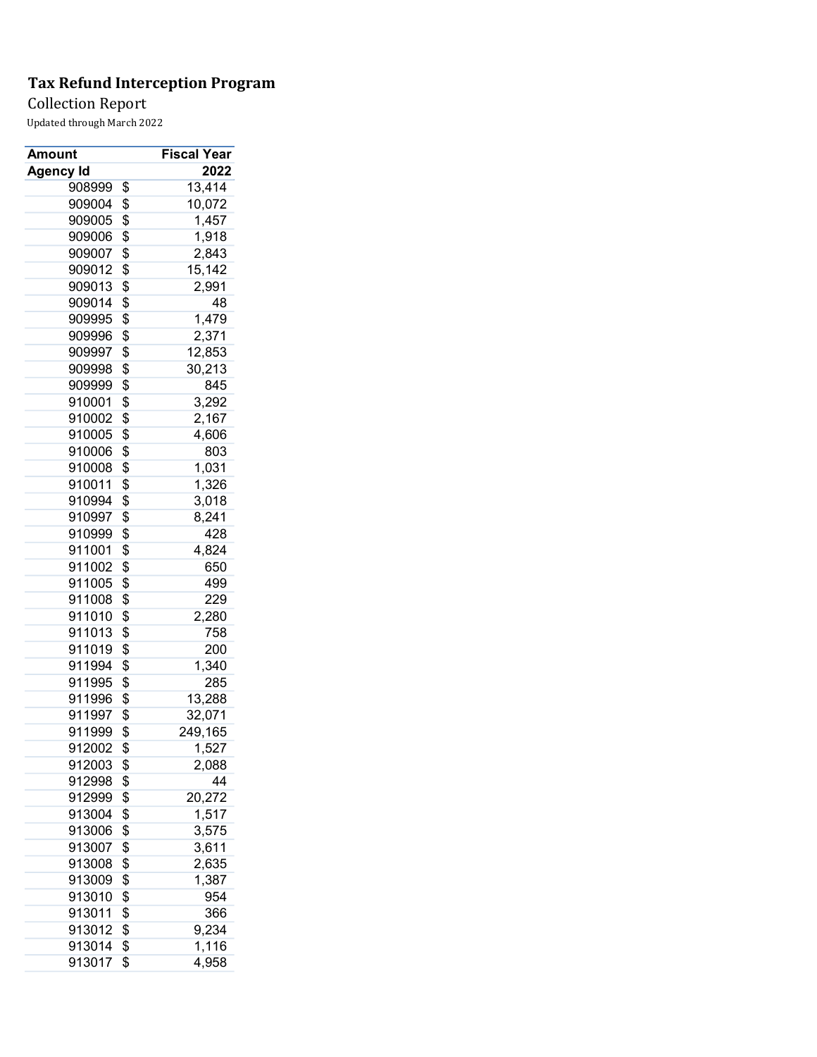## Collection Report

| Amount    | <b>Fiscal Year</b> |
|-----------|--------------------|
| Agency Id | 2022               |
| 908999    | \$<br>13,414       |
| 909004    | \$<br>10,072       |
| 909005    | \$<br>1,457        |
| 909006    | \$<br>1,918        |
| 909007    | \$<br>2,843        |
| 909012    | \$<br>15,142       |
| 909013    | \$<br>2,991        |
| 909014    | \$<br>48           |
| 909995    | \$<br>1,479        |
| 909996    | \$<br>2,371        |
| 909997    | \$<br>12,853       |
| 909998    | \$<br>30,213       |
| 909999    | \$<br>845          |
| 910001    | \$<br>3,292        |
| 910002    | \$<br>2,167        |
| 910005    | \$<br>4,606        |
| 910006    | \$<br>803          |
| 910008    | \$<br>1,031        |
| 910011    | \$<br>1,326        |
| 910994    | \$<br>3,018        |
| 910997    | \$<br>8,241        |
| 910999    | \$<br>428          |
| 911001    | \$<br>4,824        |
| 911002    | \$<br>650          |
| 911005    | \$<br>499          |
| 911008    | \$<br>229          |
| 911010    | \$<br>2,280        |
| 911013    | \$<br>758          |
| 911019    | \$<br>200          |
| 911994    | \$<br>1,340        |
| 911995    | \$<br>285          |
| 911996    | \$<br>13,288       |
| 911997    | \$                 |
| 911999    | 32,071             |
|           | \$<br>249,165      |
| 912002    | \$<br>1,527        |
| 912003    | \$<br>2,088        |
| 912998    | \$<br>44           |
| 912999    | \$<br>20,272       |
| 913004    | \$<br>1,517        |
| 913006    | \$<br>3,575        |
| 913007    | \$<br>3,611        |
| 913008    | \$<br>2,635        |
| 913009    | \$<br>1,387        |
| 913010    | \$<br>954          |
| 913011    | \$<br>366          |
| 913012    | \$<br>9,234        |
| 913014    | \$<br>1,116        |
| 913017    | \$<br>4,958        |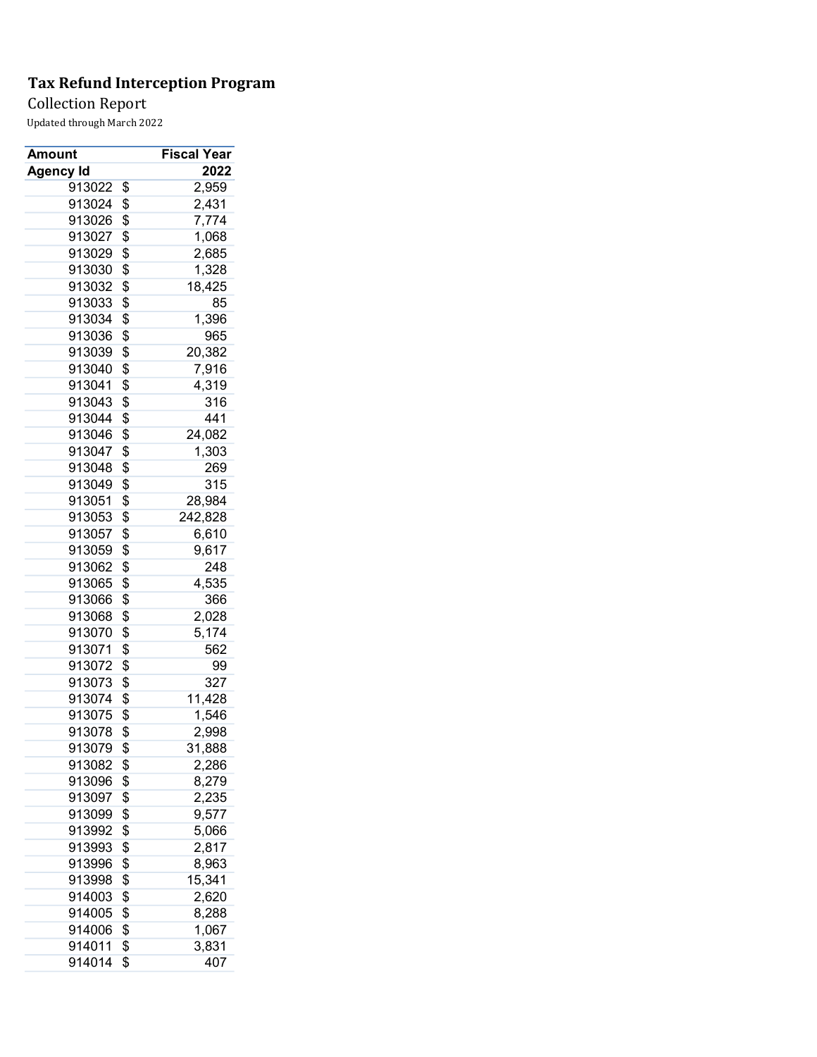## Collection Report

| Amount    | <b>Fiscal Year</b> |
|-----------|--------------------|
| Agency Id | 2022               |
| 913022    | \$<br>2,959        |
| 913024    | \$<br>2,431        |
| 913026    | \$<br>7,774        |
| 913027    | \$<br>1,068        |
| 913029    | \$<br>2,685        |
| 913030    | \$<br>1,328        |
| 913032    | \$<br>18,425       |
| 913033    | \$<br>85           |
| 913034    | \$<br>1,396        |
| 913036    | \$<br>965          |
| 913039    | \$<br>20,382       |
| 913040    | \$<br>7,916        |
| 913041    | \$<br>4,319        |
| 913043    | \$<br>316          |
| 913044    | \$<br>441          |
| 913046    | \$<br>24,082       |
| 913047    | \$<br>1,303        |
| 913048    | \$<br>269          |
| 913049    | \$<br>315          |
| 913051    | \$<br>28,984       |
| 913053    | \$<br>242,828      |
| 913057    | \$<br>6,610        |
| 913059    | \$<br>9,617        |
| 913062    | \$<br>248          |
| 913065    | \$<br>4,535        |
| 913066    | \$<br>366          |
| 913068    | \$<br>2,028        |
| 913070    | \$<br>5,174        |
| 913071    | \$<br>562          |
| 913072    | \$<br>99           |
| 913073    | \$<br>327          |
| 913074    | \$<br>11,428       |
| 913075    | \$<br>1,546        |
| 913078    | \$<br>2,998        |
| 913079    | \$<br>31,888       |
| 913082    | \$<br>2,286        |
| 913096    | \$<br>8,279        |
| 913097    | \$<br>2,235        |
| 913099    | \$<br>9,577        |
| 913992    | \$<br>5,066        |
| 913993    | \$<br>2,817        |
| 913996    | \$<br>8,963        |
| 913998    | \$<br>15,341       |
| 914003    | \$<br>2,620        |
| 914005    | \$<br>8,288        |
| 914006    | \$<br>1,067        |
| 914011    | \$<br>3,831        |
|           | \$<br>407          |
| 914014    |                    |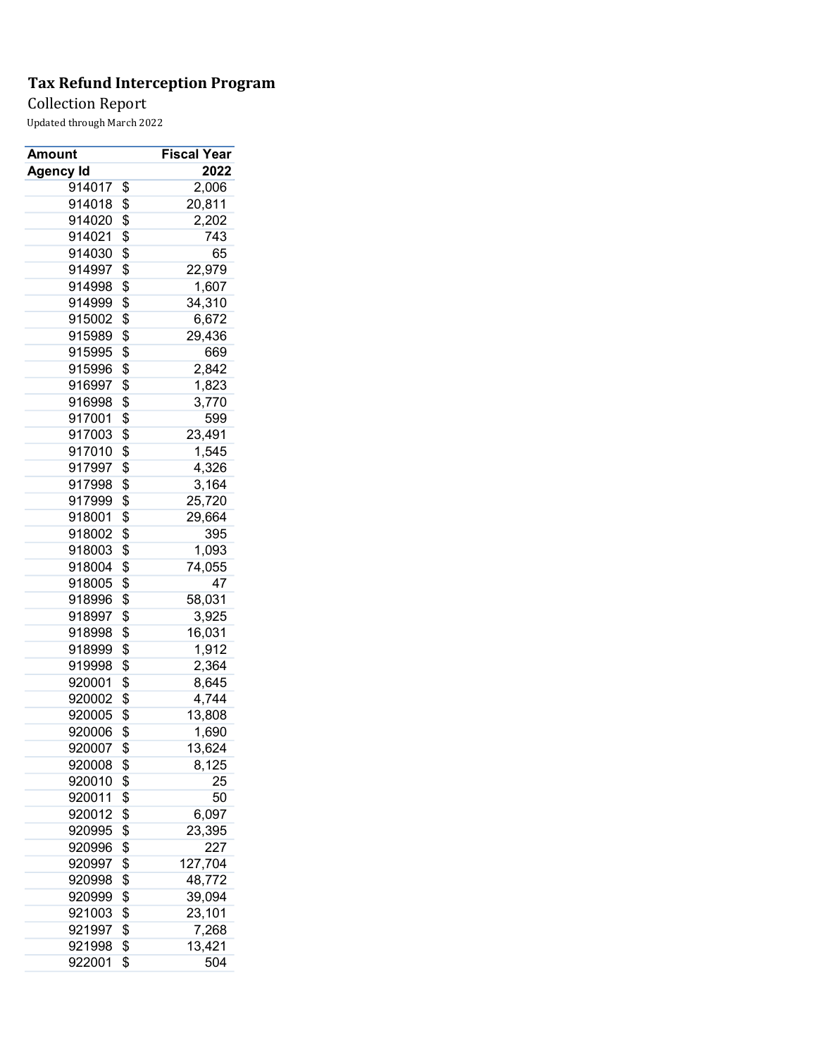Collection Report

| Amount    | Fiscal Year   |
|-----------|---------------|
| Agency Id | 2022          |
| 914017    | \$<br>2,006   |
| 914018    | \$<br>20,811  |
| 914020    | \$<br>2,202   |
| 914021    | \$<br>743     |
| 914030    | \$<br>65      |
| 914997    | \$<br>22,979  |
| 914998    | \$<br>1,607   |
| 914999    | \$<br>34,310  |
| 915002    | \$<br>6,672   |
| 915989    | \$<br>29,436  |
| 915995    | \$<br>669     |
| 915996    | \$<br>2,842   |
| 916997    | \$<br>1,823   |
| 916998    | \$<br>3,770   |
| 917001    | \$<br>599     |
| 917003    | \$<br>23,491  |
| 917010    | \$<br>1,545   |
| 917997    | \$<br>4,326   |
| 917998    | \$<br>3,164   |
| 917999    | \$<br>25,720  |
| 918001    | \$<br>29,664  |
| 918002    | \$<br>395     |
| 918003    | \$<br>1,093   |
| 918004    | \$<br>74,055  |
| 918005    | \$<br>47      |
| 918996    | \$<br>58,031  |
| 918997    | \$<br>3,925   |
| 918998    | \$<br>16,031  |
| 918999    | \$<br>1,912   |
| 919998    | \$<br>2,364   |
| 920001    | \$<br>8,645   |
| 920002    | \$<br>4,744   |
| 920005    | \$<br>13,808  |
| 920006    | \$<br>1,690   |
| 920007    | \$<br>13,624  |
| 920008    |               |
|           | \$<br>8,125   |
| 920010    | \$<br>25      |
| 920011    | \$<br>50      |
| 920012    | \$<br>6,097   |
| 920995    | \$<br>23,395  |
| 920996    | \$<br>227     |
| 920997    | \$<br>127,704 |
| 920998    | \$<br>48,772  |
| 920999    | \$<br>39,094  |
| 921003    | \$<br>23,101  |
| 921997    | \$<br>7,268   |
| 921998    | \$<br>13,421  |
| 922001    | \$<br>504     |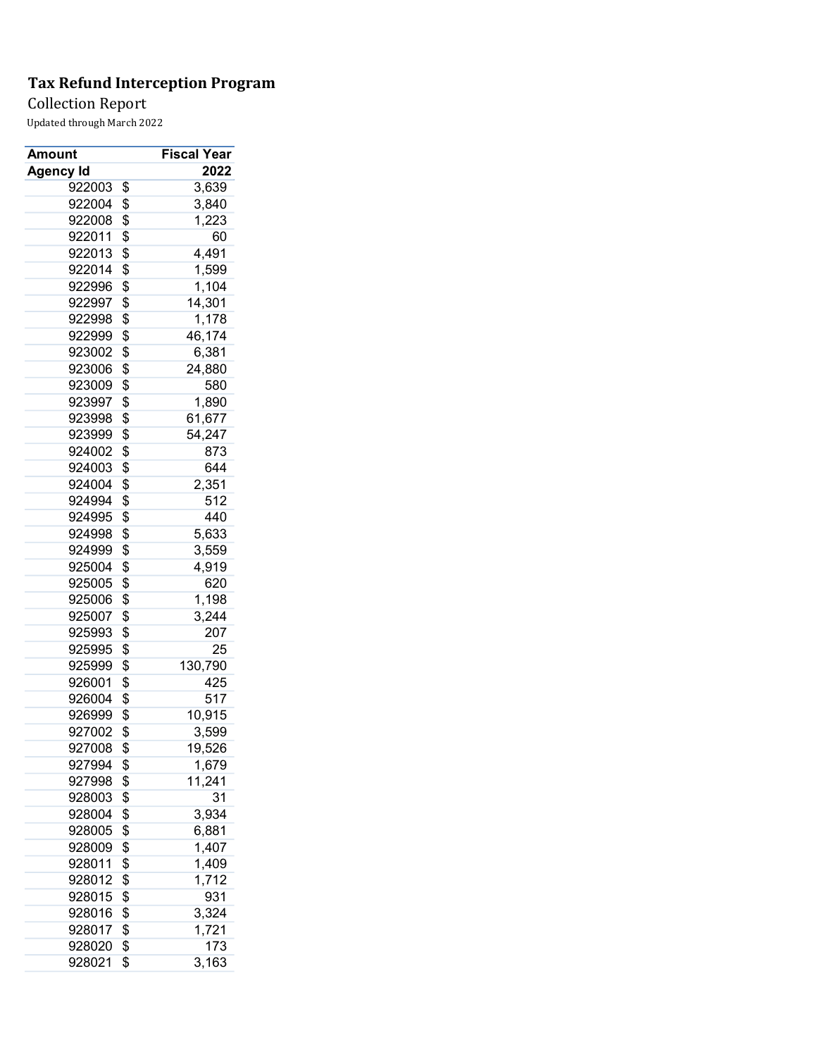## Collection Report

| Amount           | <b>Fiscal Year</b> |
|------------------|--------------------|
| <b>Agency Id</b> | 2022               |
| 922003           | \$<br>3,639        |
| 922004           | \$<br>3,840        |
| 922008           | \$<br>1,223        |
| 922011           | \$<br>60           |
| 922013           | \$<br>4,491        |
| 922014           | \$<br>1,599        |
| 922996           | \$<br>1,104        |
| 922997           | \$<br>14,301       |
| 922998           | \$<br>1,178        |
| 922999           | \$<br>46,174       |
| 923002           | \$<br>6,381        |
| 923006           | \$<br>24,880       |
| 923009           | \$<br>580          |
| 923997           | \$<br>1,890        |
| 923998           | \$<br>61,677       |
| 923999           | \$<br>54,247       |
| 924002           | \$<br>873          |
| 924003           | \$<br>644          |
| 924004           | \$<br>2,351        |
| 924994           | \$<br>512          |
| 924995           | \$<br>440          |
| 924998           | \$<br>5,633        |
| 924999           | \$<br>3,559        |
| 925004           | \$<br>4,919        |
| 925005           | \$<br>620          |
| 925006           | \$<br>1,198        |
| 925007           | \$<br>3,244        |
| 925993           | \$<br>207          |
| 925995           | \$<br>25           |
| 925999           | \$<br>130,790      |
| 926001           | \$<br>425          |
| 926004           | \$<br>517          |
| 926999           | \$<br>10,915       |
| 927002           | \$<br>3,599        |
| 927008           | \$<br>19,526       |
| 927994           | \$<br>1,679        |
| 927998           | \$<br>11,241       |
| 928003           | \$<br>31           |
| 928004           | \$<br>3,934        |
| 928005           | \$<br>6,881        |
| 928009           | \$<br>1,407        |
| 928011           | \$<br>1,409        |
| 928012           | \$<br>1,712        |
| 928015           | \$<br>931          |
| 928016           | \$<br>3,324        |
| 928017           | \$<br>1,721        |
| 928020           | \$<br>173          |
| 928021           | \$<br>3,163        |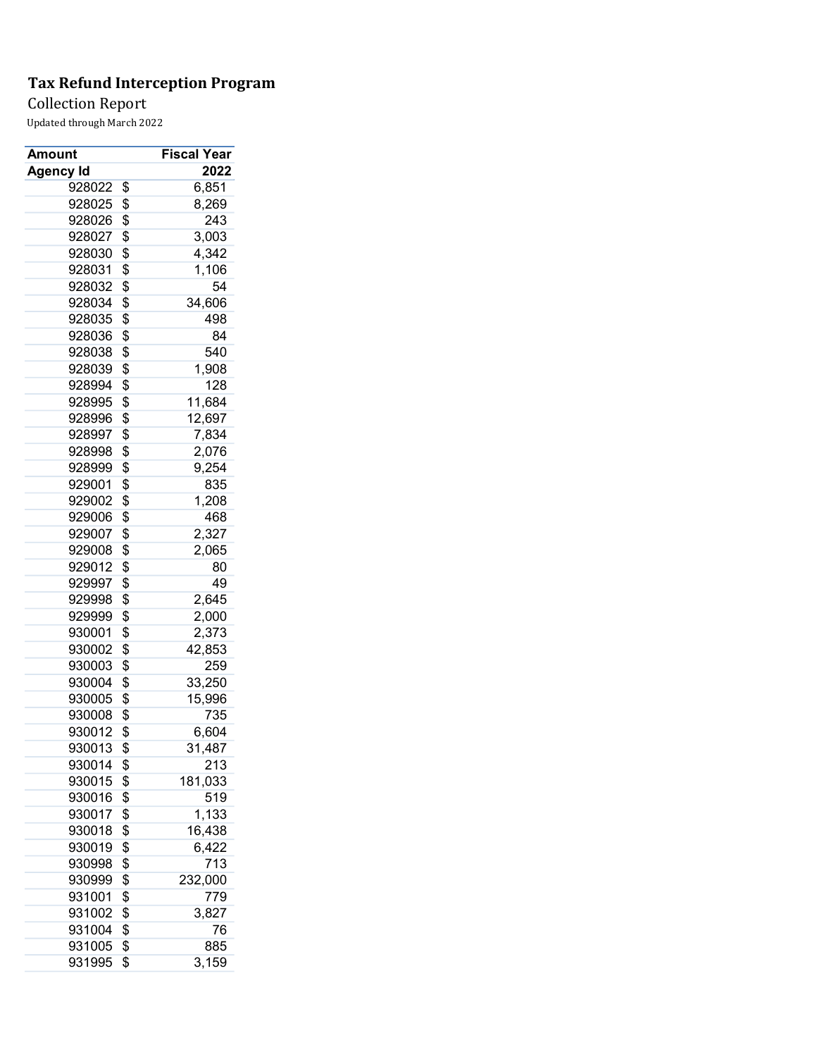## Collection Report

| Amount    | <b>Fiscal Year</b> |
|-----------|--------------------|
| Agency Id | 2022               |
| 928022    | \$<br>6,851        |
| 928025    | \$<br>8,269        |
| 928026    | \$<br>243          |
| 928027    | \$<br>3,003        |
| 928030    | \$<br>4,342        |
| 928031    | \$<br>1,106        |
| 928032    | \$<br>54           |
| 928034    | \$<br>34,606       |
| 928035    | \$<br>498          |
| 928036    | \$<br>84           |
| 928038    | \$<br>540          |
| 928039    | \$<br>1,908        |
| 928994    | \$<br>128          |
| 928995    | \$<br>11,684       |
| 928996    | \$<br>12,697       |
| 928997    | \$<br>7,834        |
| 928998    | \$<br>2,076        |
| 928999    | \$<br>9,254        |
| 929001    | \$<br>835          |
| 929002    | \$<br>1,208        |
| 929006    | \$<br>468          |
| 929007    | \$<br>2,327        |
| 929008    | \$<br>2,065        |
| 929012    | \$<br>80           |
| 929997    | \$<br>49           |
| 929998    | \$<br>2,645        |
| 929999    | \$<br>2,000        |
| 930001    | \$<br>2,373        |
| 930002    | \$<br>42,853       |
| 930003    | \$<br>259          |
| 930004    | \$<br>33,250       |
| 930005    | \$<br>15,996       |
| 930008    | \$<br>735          |
| 930012    |                    |
|           | \$<br>6,604        |
| 930013    | \$<br>31,487       |
| 930014    | \$<br>213          |
| 930015    | \$<br>181,033      |
| 930016    | \$<br>519          |
| 930017    | \$<br>1,133        |
| 930018    | \$<br>16,438       |
| 930019    | \$<br>6,422        |
| 930998    | \$<br>713          |
| 930999    | \$<br>232,000      |
| 931001    | \$<br>779          |
| 931002    | \$<br>3,827        |
| 931004    | \$<br>76           |
| 931005    | \$<br>885          |
| 931995    | \$<br>3,159        |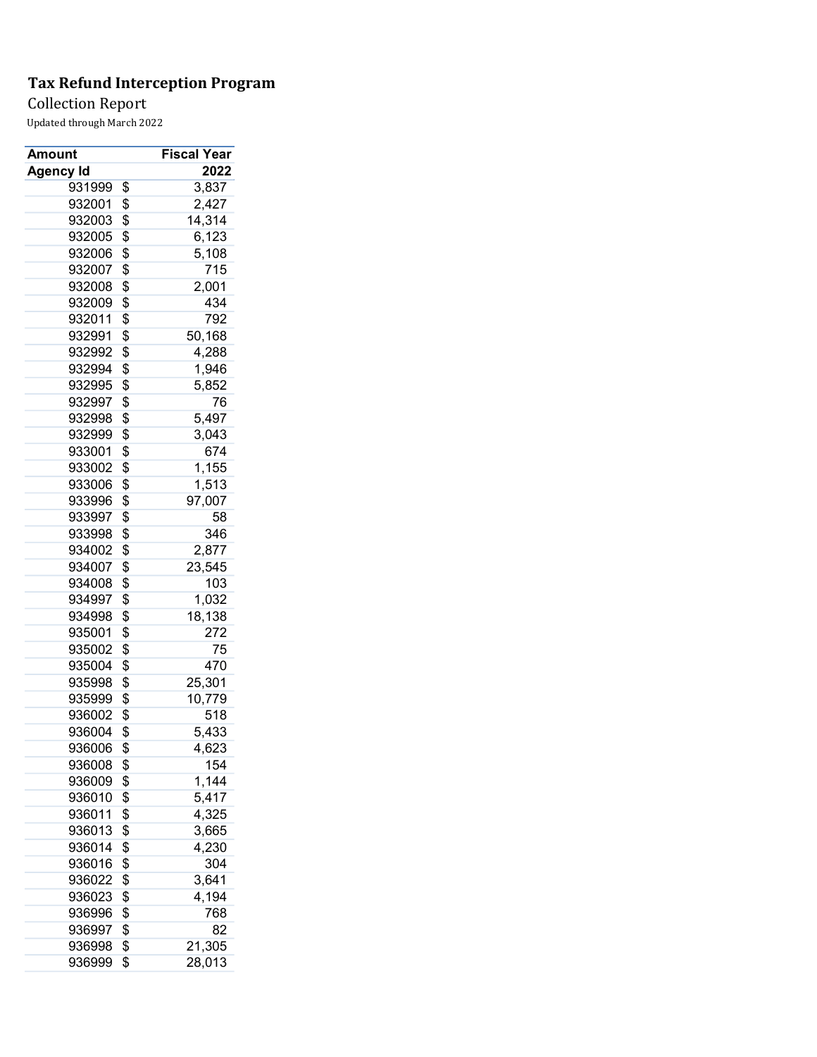## Collection Report

| Amount           |          | Fiscal Year    |
|------------------|----------|----------------|
| <b>Agency Id</b> |          | 2022           |
| 931999           | \$       | 3,837          |
| 932001           | \$       | 2,427          |
| 932003           | \$       | 14,314         |
| 932005           | \$       | 6,123          |
| 932006           | \$       | 5,108          |
| 932007           | \$       | 715            |
| 932008           | \$       | 2,001          |
| 932009           | \$       | 434            |
| 932011           | \$       | 792            |
| 932991           | \$       | 50,168         |
| 932992           | \$       | 4,288          |
| 932994           | \$       | 1,946          |
| 932995           | \$       | 5,852          |
| 932997           | \$       | 76             |
| 932998           | \$       | 5,497          |
| 932999           | \$       | 3,043          |
| 933001           | \$       | 674            |
| 933002           | \$       | 1,155          |
| 933006           | \$       | 1,513          |
| 933996           | \$       | 97,007         |
| 933997           | \$       | 58             |
| 933998           | \$       | 346            |
| 934002           | \$       | 2,877          |
| 934007           | \$       | 23,545         |
| 934008           | \$       | 103            |
| 934997           | \$       | 1,032          |
| 934998           | \$       | 18,138         |
| 935001           | \$       | 272            |
| 935002           | \$       | 75             |
| 935004           | \$       | 470            |
| 935998           | \$       | 25,301         |
| 935999           | \$       | 10,779         |
| 936002           | \$       | 518            |
| 936004           | \$       | 5,433          |
| 936006           | \$       | 4,623          |
| 936008           | \$       | 154            |
| 936009           | \$       | 1,144          |
|                  |          |                |
| 936010           | \$<br>\$ | 5,417<br>4,325 |
| 936011<br>936013 |          |                |
| 936014           | \$       | 3,665          |
|                  | \$       | 4,230          |
| 936016           | \$       | 304            |
| 936022           | \$       | 3,641          |
| 936023           | \$       | 4,194          |
| 936996           | \$       | 768            |
| 936997           | \$       | 82             |
| 936998           | \$       | 21,305         |
| 936999           | \$       | 28,013         |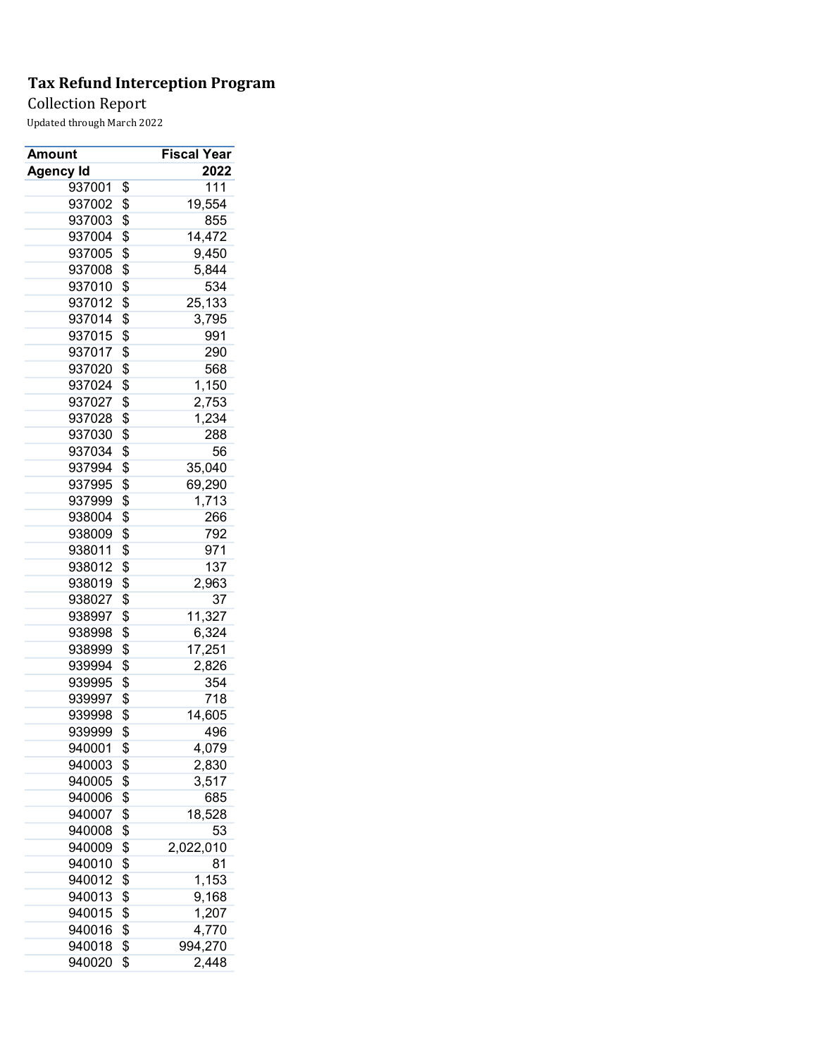## Collection Report

| Amount           | <b>Fiscal Year</b> |
|------------------|--------------------|
| <b>Agency Id</b> | 2022               |
| 937001           | \$<br>111          |
| 937002           | \$<br>19,554       |
| 937003           | \$<br>855          |
| 937004           | \$<br>14,472       |
| 937005           | \$<br>9,450        |
| 937008           | \$<br>5,844        |
| 937010           | \$<br>534          |
| 937012           | \$<br>25,133       |
| 937014           | \$<br>3,795        |
| 937015           | \$<br>991          |
| 937017           | \$<br>290          |
| 937020           | \$<br>568          |
| 937024           | \$<br>1,150        |
| 937027           | \$<br>2,753        |
| 937028           | \$<br>1,234        |
| 937030           | \$<br>288          |
| 937034           | \$<br>56           |
| 937994           | \$<br>35,040       |
| 937995           | \$<br>69,290       |
| 937999           | \$<br>1,713        |
| 938004           | \$<br>266          |
| 938009           | \$<br>792          |
| 938011           | \$<br>971          |
| 938012           | 137                |
|                  | \$                 |
| 938019           | \$<br>2,963        |
| 938027           | \$<br>37           |
| 938997           | \$<br>11,327       |
| 938998           | \$<br>6,324        |
| 938999           | \$<br>17,251       |
| 939994           | \$<br>2,826        |
| 939995           | \$<br>354          |
| 939997           | \$<br>718          |
| 939998           | \$<br>14,605       |
| 939999           | \$<br>496          |
| 940001           | \$<br>4,079        |
| 940003           | \$<br>2,830        |
| 940005           | \$<br>3,517        |
| 940006           | \$<br>685          |
| 940007           | \$<br>18,528       |
| 940008           | \$<br>53           |
| 940009           | \$<br>2,022,010    |
| 940010           | \$<br>81           |
| 940012           | \$<br>1,153        |
| 940013           | \$<br>9,168        |
| 940015           | \$<br>1,207        |
| 940016           | \$<br>4,770        |
| 940018           | \$<br>994,270      |
| 940020           | \$<br>2,448        |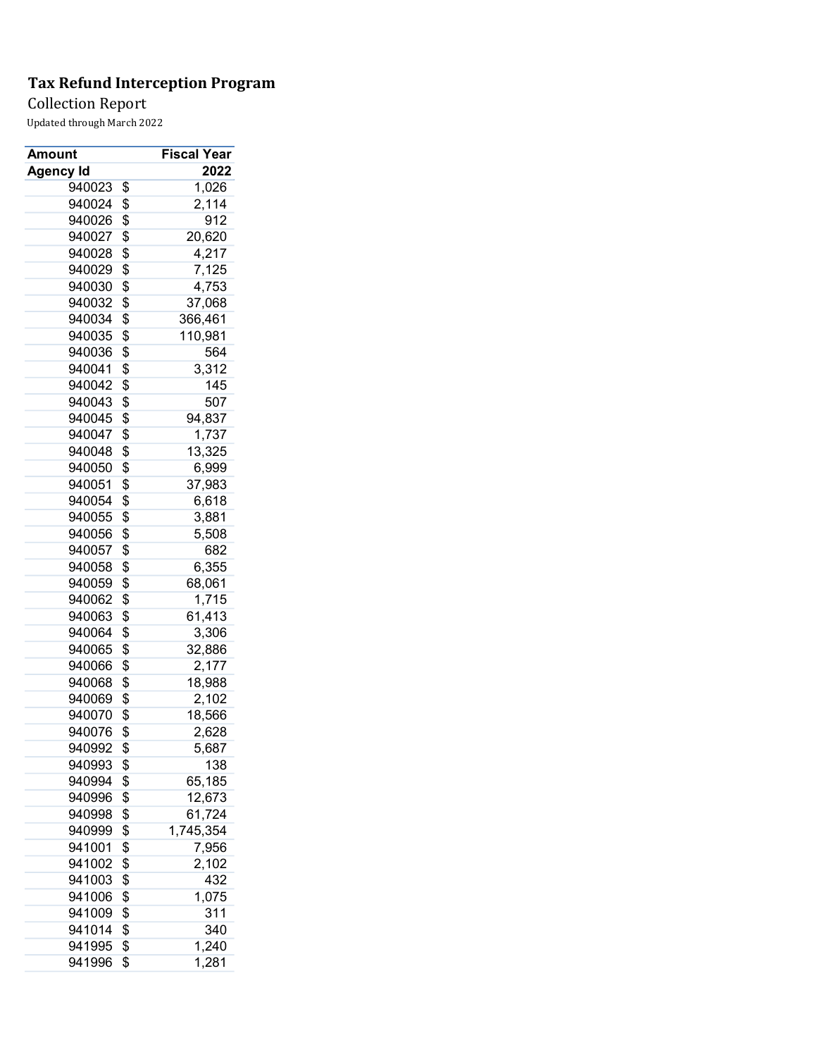## Collection Report

| Amount           | <b>Fiscal Year</b> |
|------------------|--------------------|
| <b>Agency Id</b> | 2022               |
| 940023           | \$<br>1,026        |
| 940024           | \$<br>2,114        |
| 940026           | \$<br>912          |
| 940027           | \$<br>20,620       |
| 940028           | \$<br>4,217        |
| 940029           | \$<br>7,125        |
| 940030           | \$<br>4,753        |
| 940032           | \$<br>37,068       |
| 940034           | \$<br>366,461      |
| 940035           | \$<br>110,981      |
| 940036           | \$<br>564          |
| 940041           | \$<br>3,312        |
| 940042           | \$<br>145          |
| 940043           | \$<br>507          |
| 940045           | \$<br>94,837       |
| 940047           | \$<br>1,737        |
| 940048           | \$<br>13,325       |
| 940050           | \$<br>6,999        |
| 940051           | \$<br>37,983       |
| 940054           | \$<br>6,618        |
| 940055           | \$<br>3,881        |
| 940056           | \$<br>5,508        |
| 940057           | \$<br>682          |
| 940058           | \$<br>6,355        |
|                  | \$<br>68,061       |
| 940059<br>940062 | \$                 |
|                  | 1,715              |
| 940063           | \$<br>61,413       |
| 940064           | \$<br>3,306        |
| 940065           | \$<br>32,886       |
| 940066           | \$<br>2,177        |
| 940068           | \$<br>18,988       |
| 940069           | \$<br>2,102        |
| 940070           | \$<br>18,566       |
| 940076           | \$<br>2,628        |
| 940992           | \$<br>5,687        |
| 940993           | \$<br>138          |
| 940994           | \$<br>65,185       |
| 940996           | \$<br>12,673       |
| 940998           | \$<br>61,724       |
| 940999           | \$<br>1,745,354    |
| 941001           | \$<br>7,956        |
| 941002           | \$<br>2,102        |
| 941003           | \$<br>432          |
| 941006           | \$<br>1,075        |
| 941009           | \$<br>311          |
| 941014           | \$<br>340          |
| 941995           | \$<br>1,240        |
| 941996           | \$<br>1,281        |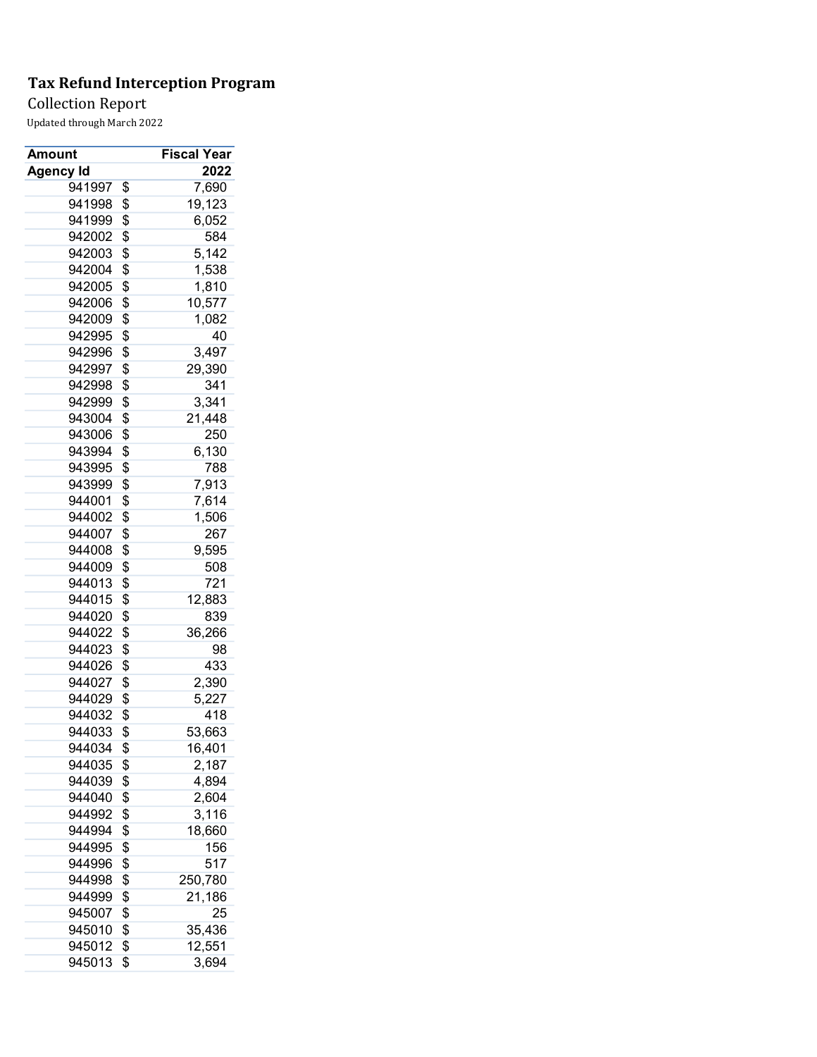## Collection Report

| Amount    | <b>Fiscal Year</b> |
|-----------|--------------------|
| Agency Id | 2022               |
| 941997    | \$<br>7,690        |
| 941998    | \$<br>19,123       |
| 941999    | \$<br>6,052        |
| 942002    | \$<br>584          |
| 942003    | \$<br>5,142        |
| 942004    | \$<br>1,538        |
| 942005    | \$<br>1,810        |
| 942006    | \$<br>10,577       |
| 942009    | \$<br>1,082        |
| 942995    | \$<br>40           |
| 942996    | \$<br>3,497        |
| 942997    | \$<br>29,390       |
| 942998    | \$<br>341          |
| 942999    | \$<br>3,341        |
| 943004    | \$<br>21,448       |
| 943006    | \$<br>250          |
| 943994    | \$<br>6,130        |
| 943995    | \$<br>788          |
| 943999    | \$<br>7,913        |
| 944001    | \$<br>7,614        |
| 944002    | \$<br>1,506        |
| 944007    | \$<br>267          |
| 944008    | \$<br>9,595        |
| 944009    | \$<br>508          |
| 944013    | \$<br>721          |
| 944015    | \$<br>12,883       |
| 944020    | \$<br>839          |
| 944022    | \$<br>36,266       |
| 944023    | \$<br>98           |
| 944026    | \$<br>433          |
| 944027    | \$<br>2,390        |
| 944029    | \$<br>5,227        |
| 944032    | \$<br>418          |
| 944033    | \$<br>53,663       |
| 944034    | \$<br>16,401       |
| 944035    |                    |
| 944039    | \$<br>2,187        |
|           | \$<br>4,894        |
| 944040    | \$<br>2,604        |
| 944992    | \$<br>3,116        |
| 944994    | \$<br>18,660       |
| 944995    | \$<br>156          |
| 944996    | \$<br>517          |
| 944998    | \$<br>250,780      |
| 944999    | \$<br>21,186       |
| 945007    | \$<br>25           |
| 945010    | \$<br>35,436       |
| 945012    | \$<br>12,551       |
| 945013    | \$<br>3,694        |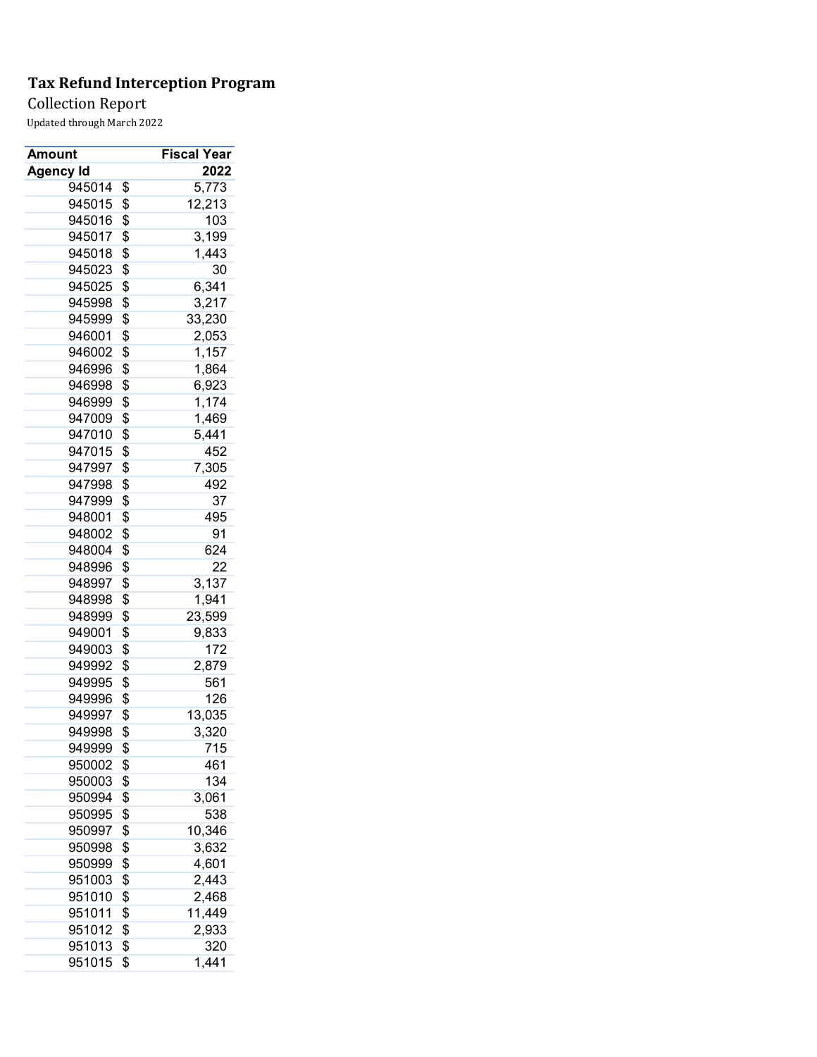Collection Report

| Amount           | <b>Fiscal Year</b>  |
|------------------|---------------------|
| Agency Id        | 2022                |
| 945014           | \$<br>5,773         |
| 945015           | \$<br>12,213        |
| 945016           | \$<br>103           |
| 945017           | \$<br>3,199         |
| 945018           | \$<br>1,443         |
| 945023           | \$<br>30            |
| 945025           | \$<br>6,341         |
| 945998           | \$<br>3,217         |
| 945999           | \$<br>33,230        |
| 946001           | \$<br>2,053         |
| 946002           | \$<br>1,157         |
| 946996           | \$<br>1,864         |
| 946998           | \$<br>6,923         |
| 946999           | \$<br>1,174         |
| 947009           | \$<br>1,469         |
| 947010           | \$<br>5,441         |
| 947015           | \$<br>452           |
| 947997           | \$<br>7,305         |
| 947998           | \$<br>492           |
| 947999           | \$<br>37            |
| 948001           | \$<br>495           |
| 948002           | \$<br>91            |
| 948004           | \$<br>624           |
| 948996           | \$<br>22            |
| 948997           | \$<br>3,137         |
| 948998           | \$<br>1,941         |
| 948999           | \$<br>23,599        |
| 949001           | \$<br>9,833         |
| 949003           | \$<br>172           |
| 949992           | \$<br>2,879         |
| 949995           | \$<br>561           |
| 949996           | \$<br>126           |
| 949997           | \$<br>13,035        |
| 949998           | \$<br>3,320         |
| 949999           | \$<br>715           |
|                  | \$<br>461           |
| 950002<br>950003 | 134                 |
|                  | \$                  |
| 950994           | \$<br>3,061         |
| 950995           | \$<br>538<br>10,346 |
| 950997           | \$                  |
| 950998           | \$<br>3,632         |
| 950999           | \$<br>4,601         |
| 951003           | \$<br>2,443         |
| 951010           | \$<br>2,468         |
| 951011           | \$<br>11,449        |
| 951012           | \$<br>2,933         |
| 951013           | \$<br>320           |
| 951015           | \$<br>1,441         |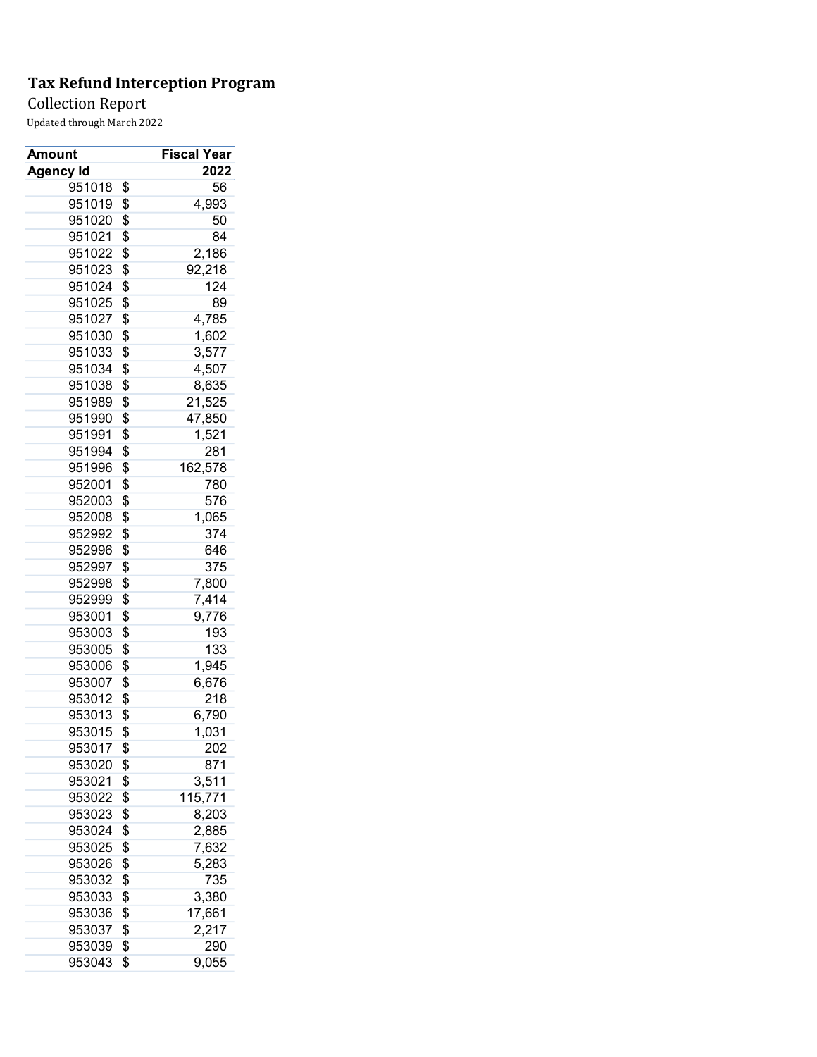Collection Report

| Amount           | <b>Fiscal Year</b> |
|------------------|--------------------|
| Agency Id        | 2022               |
| 951018           | \$<br>56           |
| 951019           | \$<br>4,993        |
| 951020           | \$<br>50           |
| 951021           | \$<br>84           |
| 951022           | \$<br>2,186        |
| 951023           | \$<br>92,218       |
| 951024           | \$<br>124          |
| 951025           | \$<br>89           |
| 951027           | \$<br>4,785        |
| 951030           | \$<br>1,602        |
| 951033           | \$<br>3,577        |
| 951034           | \$<br>4,507        |
| 951038           | \$<br>8,635        |
| 951989           | \$<br>21,525       |
| 951990           | \$<br>47,850       |
| 951991           | \$<br>1,521        |
| 951994           | \$<br>281          |
| 951996           | \$<br>162,578      |
| 952001           | \$<br>780          |
| 952003           | \$<br>576          |
| 952008           | \$<br>1,065        |
| 952992           | \$<br>374          |
| 952996           | \$<br>646          |
| 952997           | \$<br>375          |
| 952998           | \$<br>7,800        |
| 952999           | \$<br>7,414        |
| 953001           | \$<br>9,776        |
| 953003           | \$<br>193          |
| 953005           | \$<br>133          |
| 953006           | \$<br>1,945        |
| 953007           | \$<br>6,676        |
| 953012           | \$<br>218          |
| 953013           | \$<br>6,790        |
| 953015           | \$<br>1,031        |
| 953017           | \$<br>202          |
|                  |                    |
| 953020<br>953021 | \$<br>871          |
|                  | \$<br>3,511        |
| 953022           | \$<br>115,771      |
| 953023           | \$<br>8,203        |
| 953024           | \$<br>2,885        |
| 953025           | \$<br>7,632        |
| 953026           | \$<br>5,283        |
| 953032           | \$<br>735          |
| 953033           | \$<br>3,380        |
| 953036           | \$<br>17,661       |
| 953037           | \$<br>2,217        |
| 953039           | \$<br>290          |
| 953043           | \$<br>9,055        |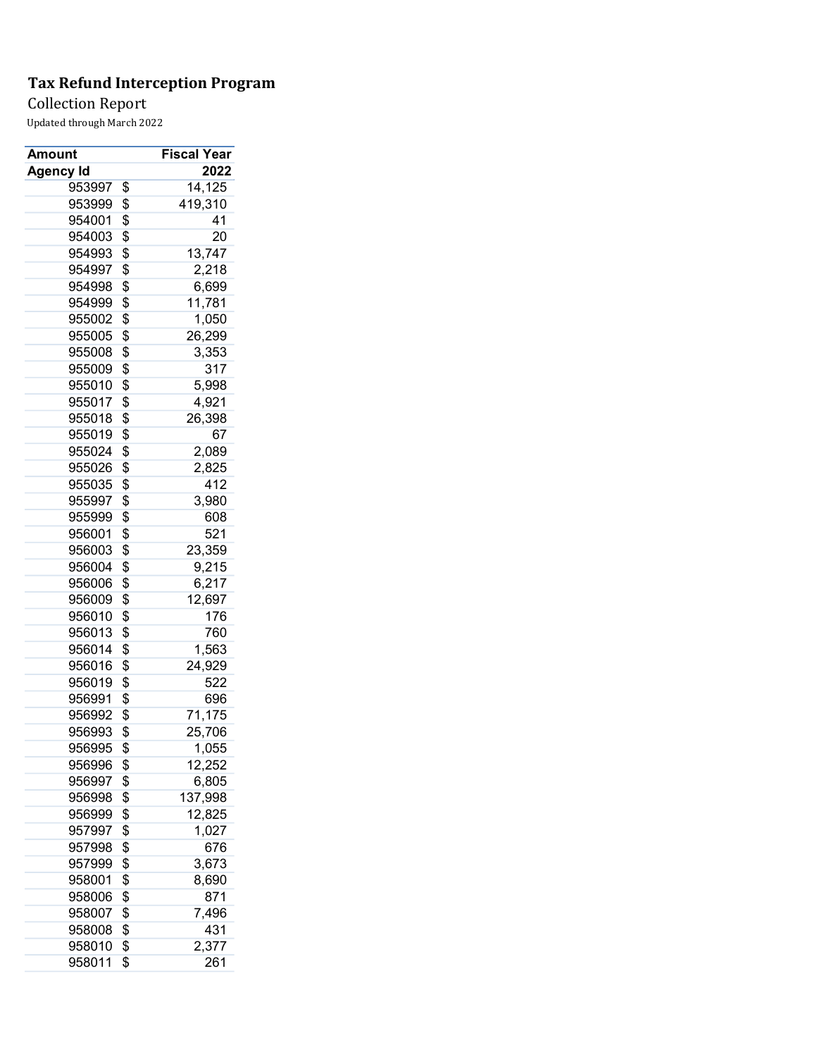Collection Report

| Amount           | <b>Fiscal Year</b> |
|------------------|--------------------|
| <b>Agency Id</b> | 2022               |
| 953997           | \$<br>14,125       |
| 953999           | \$<br>419,310      |
| 954001           | \$<br>41           |
| 954003           | \$<br>20           |
| 954993           | \$<br>13,747       |
| 954997           | \$<br>2,218        |
| 954998           | \$<br>6,699        |
| 954999           | \$<br>11,781       |
| 955002           | \$<br>1,050        |
| 955005           | \$<br>26,299       |
| 955008           | \$<br>3,353        |
| 955009           | \$<br>317          |
| 955010           | \$<br>5,998        |
| 955017           | \$<br>4,921        |
| 955018           | \$<br>26,398       |
| 955019           | \$<br>67           |
| 955024           | \$<br>2,089        |
| 955026           | \$<br>2,825        |
| 955035           | \$<br>412          |
| 955997           | \$<br>3,980        |
| 955999           | \$<br>608          |
| 956001           | \$<br>521          |
| 956003           | \$<br>23,359       |
| 956004           | \$<br>9,215        |
| 956006           | \$<br>6,217        |
| 956009           | \$<br>12,697       |
| 956010           | \$<br>176          |
| 956013           | \$<br>760          |
| 956014           | \$<br>1,563        |
| 956016           | \$<br>24,929       |
| 956019           | \$<br>522          |
| 956991           | \$<br>696          |
| 956992           | \$<br>71,175       |
| 956993           | \$<br>25,706       |
| 956995           | \$<br>1,055        |
| 956996           | \$<br>12,252       |
| 956997           | \$<br>6,805        |
| 956998           | \$<br>137,998      |
| 956999           | \$<br>12,825       |
| 957997           | \$<br>1,027        |
| 957998           | \$<br>676          |
| 957999           | \$<br>3,673        |
| 958001           | \$<br>8,690        |
| 958006           | \$<br>871          |
| 958007           | \$<br>7,496        |
| 958008           | \$<br>431          |
| 958010           | \$<br>2,377        |
| 958011           | \$<br>261          |
|                  |                    |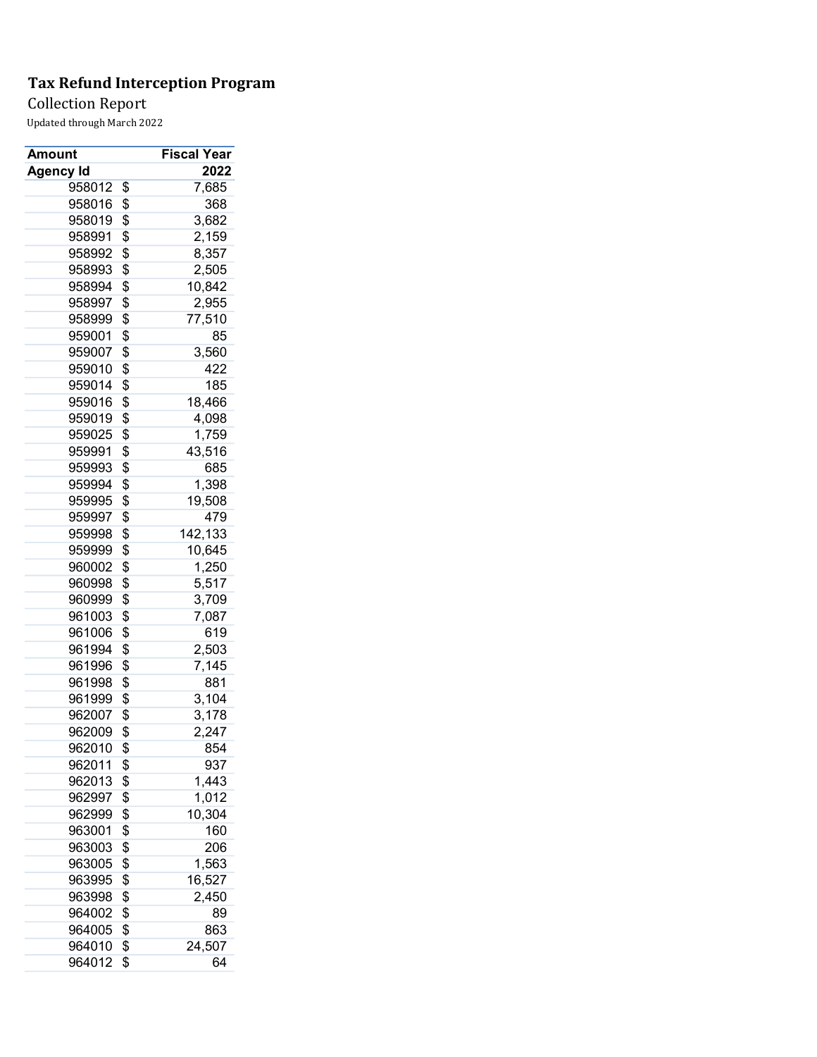## Collection Report

| Amount           | Fiscal Year   |
|------------------|---------------|
| <b>Agency Id</b> | 2022          |
| 958012           | \$<br>7,685   |
| 958016           | \$<br>368     |
| 958019           | \$<br>3,682   |
| 958991           | \$<br>2,159   |
| 958992           | \$<br>8,357   |
| 958993           | \$<br>2,505   |
| 958994           | \$<br>10,842  |
| 958997           | \$<br>2,955   |
| 958999           | \$<br>77,510  |
| 959001           | \$<br>85      |
| 959007           | \$<br>3,560   |
| 959010           | \$<br>422     |
| 959014           | \$<br>185     |
| 959016           | \$<br>18,466  |
| 959019           | \$<br>4,098   |
| 959025           | \$<br>1,759   |
| 959991           | \$<br>43,516  |
| 959993           | \$<br>685     |
| 959994           | \$<br>1,398   |
| 959995           | \$<br>19,508  |
| 959997           | \$<br>479     |
| 959998           | \$<br>142,133 |
| 959999           | \$<br>10,645  |
| 960002           | \$            |
| 960998           | \$<br>1,250   |
|                  | 5,517         |
| 960999           | \$<br>3,709   |
| 961003           | \$<br>7,087   |
| 961006           | \$<br>619     |
| 961994           | \$<br>2,503   |
| 961996           | \$<br>7,145   |
| 961998           | \$<br>881     |
| 961999           | \$<br>3,104   |
| 962007           | \$<br>3,178   |
| 962009           | \$<br>2,247   |
| 962010           | \$<br>854     |
| 962011           | \$<br>937     |
| 962013           | \$<br>1,443   |
| 962997           | \$<br>1,012   |
| 962999           | \$<br>10,304  |
| 963001           | \$<br>160     |
| 963003           | \$<br>206     |
| 963005           | \$<br>1,563   |
| 963995           | \$<br>16,527  |
| 963998           | \$<br>2,450   |
| 964002           | \$<br>89      |
| 964005           | \$<br>863     |
| 964010           | \$<br>24,507  |
| 964012           | \$<br>64      |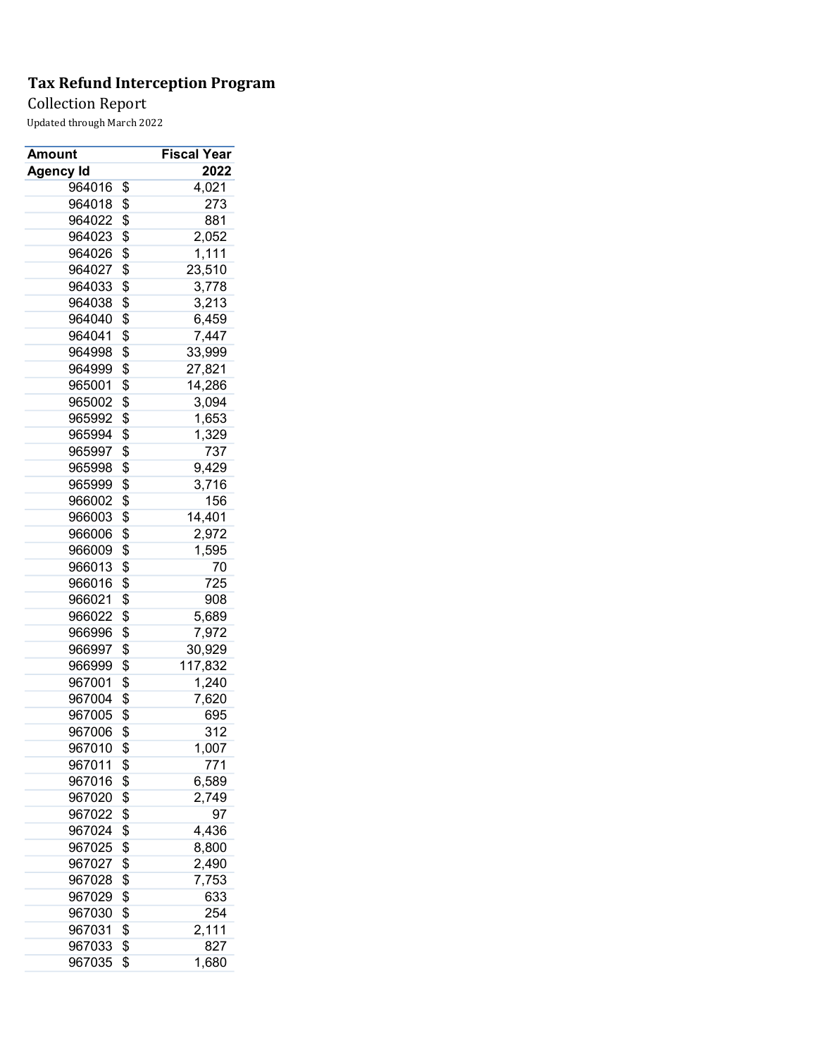## Collection Report

| Amount           | Fiscal Year   |
|------------------|---------------|
| <b>Agency Id</b> | 2022          |
| 964016           | \$<br>4,021   |
| 964018           | \$<br>273     |
| 964022           | \$<br>881     |
| 964023           | \$<br>2,052   |
| 964026           | \$<br>1,111   |
| 964027           | \$<br>23,510  |
| 964033           | \$<br>3,778   |
| 964038           | \$<br>3,213   |
| 964040           | \$<br>6,459   |
| 964041           | \$<br>7,447   |
| 964998           | \$<br>33,999  |
| 964999           | \$<br>27,821  |
| 965001           | \$<br>14,286  |
| 965002           | \$<br>3,094   |
| 965992           | \$<br>1,653   |
| 965994           | \$<br>1,329   |
| 965997           | \$<br>737     |
| 965998           | \$<br>9,429   |
| 965999           | \$<br>3,716   |
| 966002           | \$<br>156     |
| 966003           | \$<br>14,401  |
| 966006           | \$<br>2,972   |
| 966009           | \$<br>1,595   |
| 966013           | \$<br>70      |
| 966016           | \$<br>725     |
| 966021           | \$<br>908     |
| 966022           | \$<br>5,689   |
| 966996           | \$<br>7,972   |
| 966997           | \$<br>30,929  |
| 966999           | \$<br>117,832 |
| 967001           | \$            |
|                  | 1,240         |
| 967004           | \$<br>7,620   |
| 967005           | \$<br>695     |
| 967006           | \$<br>312     |
| 967010           | \$<br>1,007   |
| 967011           | \$<br>771     |
| 967016           | \$<br>6,589   |
| 967020           | \$<br>2,749   |
| 967022           | \$<br>97      |
| 967024           | \$<br>4,436   |
| 967025           | \$<br>8,800   |
| 967027           | \$<br>2,490   |
| 967028           | \$<br>7,753   |
| 967029           | \$<br>633     |
| 967030           | \$<br>254     |
| 967031           | \$<br>2,111   |
| 967033           | \$<br>827     |
| 967035           | \$<br>1,680   |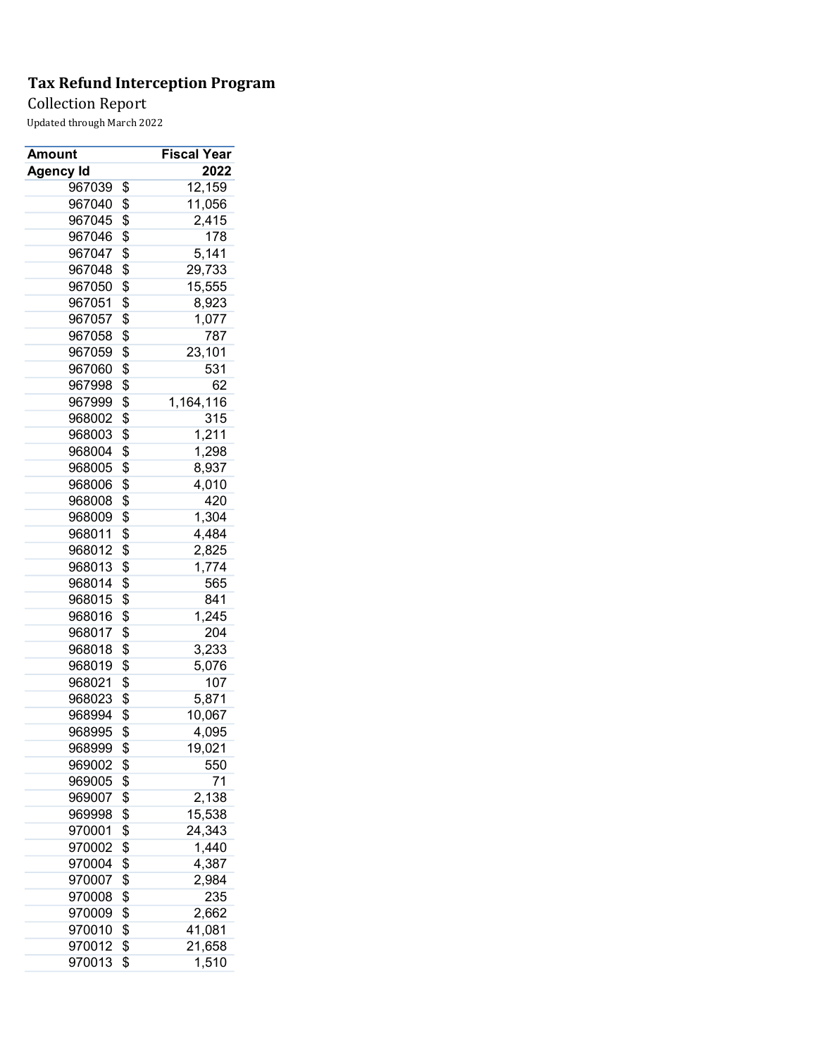Collection Report

| Amount           | <b>Fiscal Year</b> |
|------------------|--------------------|
| Agency Id        | 2022               |
| 967039           | \$<br>12,159       |
| 967040           | \$<br>11,056       |
| 967045           | \$<br>2,415        |
| 967046           | \$<br>178          |
| 967047           | \$<br>5,141        |
| 967048           | \$<br>29,733       |
| 967050           | \$<br>15,555       |
| 967051           | \$<br>8,923        |
| 967057           | \$<br>1,077        |
| 967058           | \$<br>787          |
| 967059           | \$<br>23,101       |
| 967060           | \$<br>531          |
| 967998           | \$<br>62           |
| 967999           | \$<br>1,164,116    |
| 968002           | \$<br>315          |
| 968003           | \$<br>1,211        |
| 968004           | \$<br>1,298        |
| 968005           | \$<br>8,937        |
| 968006           | \$<br>4,010        |
| 968008           | \$<br>420          |
| 968009           | \$<br>1,304        |
| 968011           | \$<br>4,484        |
| 968012           | \$<br>2,825        |
| 968013           | \$<br>1,774        |
| 968014           | \$<br>565          |
| 968015           | \$<br>841          |
| 968016           | \$<br>1,245        |
| 968017           | \$<br>204          |
| 968018           | \$<br>3,233        |
| 968019           | \$<br>5,076        |
| 968021           | \$<br>107          |
|                  |                    |
| 968023<br>968994 | \$<br>5,871        |
|                  | \$<br>10,067       |
| 968995           | \$<br>4,095        |
| 968999           | \$<br>19,021       |
| 969002           | \$<br>550          |
| 969005           | \$<br>71           |
| 969007           | \$<br>2,138        |
| 969998           | \$<br>15,538       |
| 970001           | \$<br>24,343       |
| 970002           | \$<br>1,440        |
| 970004           | \$<br>4,387        |
| 970007           | \$<br>2,984        |
| 970008           | \$<br>235          |
| 970009           | \$<br>2,662        |
| 970010           | \$<br>41,081       |
| 970012           | \$<br>21,658       |
| 970013           | \$<br>1,510        |